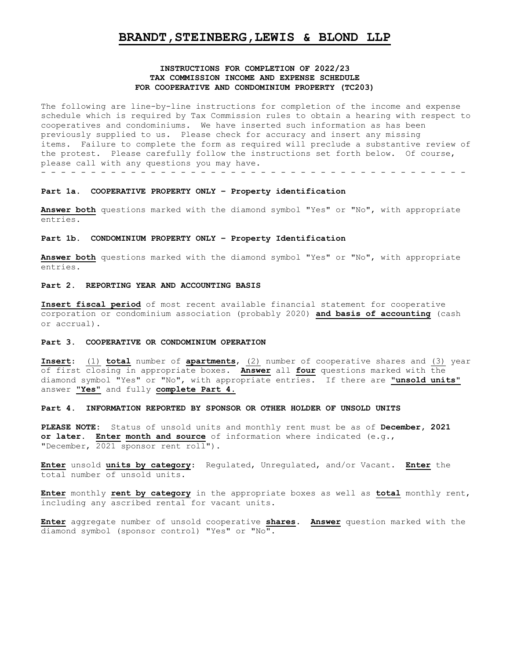# **BRANDT,STEINBERG,LEWIS & BLOND LLP**

## **INSTRUCTIONS FOR COMPLETION OF 2022/23 TAX COMMISSION INCOME AND EXPENSE SCHEDULE FOR COOPERATIVE AND CONDOMINIUM PROPERTY (TC203)**

The following are line-by-line instructions for completion of the income and expense schedule which is required by Tax Commission rules to obtain a hearing with respect to cooperatives and condominiums. We have inserted such information as has been previously supplied to us. Please check for accuracy and insert any missing items. Failure to complete the form as required will preclude a substantive review of the protest. Please carefully follow the instructions set forth below. Of course, please call with any questions you may have. - - - - - - - - - - - - - - - - - - - - - - - - - - - - - - - - - - - - - - - - - - -

#### **Part 1a. COOPERATIVE PROPERTY ONLY – Property identification**

**Answer both** questions marked with the diamond symbol "Yes" or "No", with appropriate entries.

## **Part 1b. CONDOMINIUM PROPERTY ONLY – Property Identification**

**Answer both** questions marked with the diamond symbol "Yes" or "No", with appropriate entries.

#### **Part 2. REPORTING YEAR AND ACCOUNTING BASIS**

**Insert fiscal period** of most recent available financial statement for cooperative corporation or condominium association (probably 2020) **and basis of accounting** (cash or accrual).

#### **Part 3. COOPERATIVE OR CONDOMINIUM OPERATION**

**Insert**: (1) **total** number of **apartments**, (2) number of cooperative shares and (3) year of first closing in appropriate boxes. **Answer** all **four** questions marked with the diamond symbol "Yes" or "No", with appropriate entries. If there are **"unsold units"** answer **"Yes"** and fully **complete Part 4.**

## **Part 4. INFORMATION REPORTED BY SPONSOR OR OTHER HOLDER OF UNSOLD UNITS**

**PLEASE NOTE:** Status of unsold units and monthly rent must be as of **December, 2021 or later. Enter month and source** of information where indicated (e.g., "December, 2021 sponsor rent roll").

**Enter** unsold **units by category**: Regulated, Unregulated, and/or Vacant. **Enter** the total number of unsold units.

**Enter** monthly **rent by category** in the appropriate boxes as well as **total** monthly rent, including any ascribed rental for vacant units.

**Enter** aggregate number of unsold cooperative **shares**. **Answer** question marked with the diamond symbol (sponsor control) "Yes" or "No".